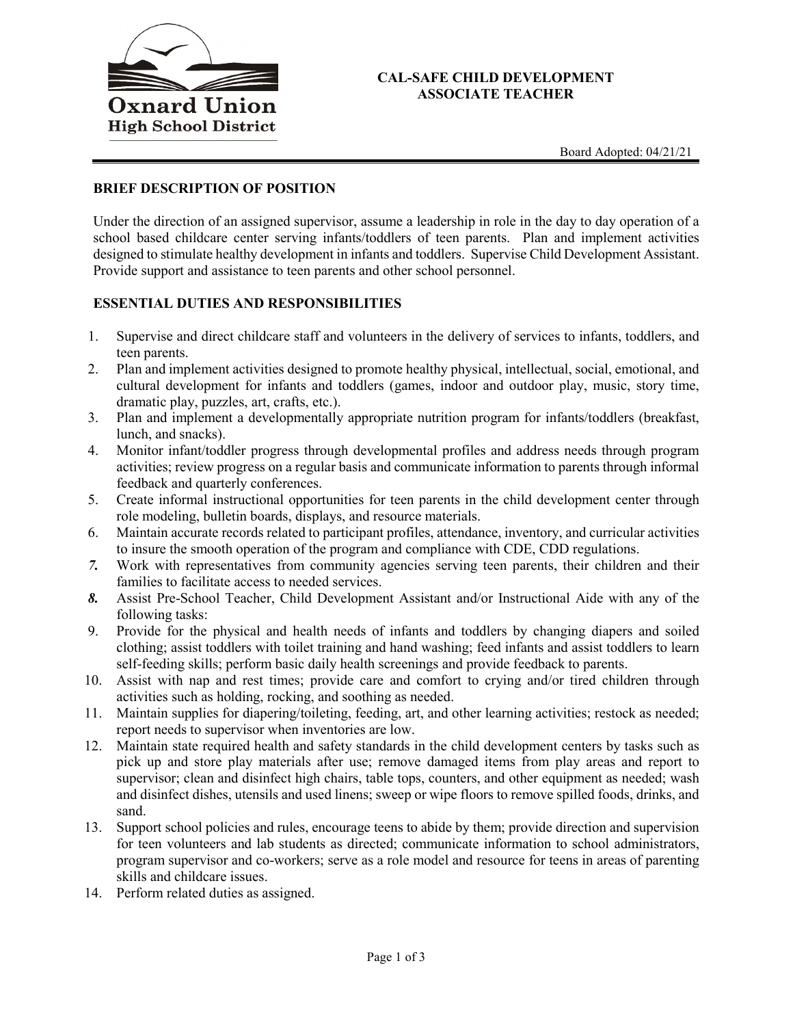

#### **CAL-SAFE CHILD DEVELOPMENT ASSOCIATE TEACHER**

## **BRIEF DESCRIPTION OF POSITION**

Under the direction of an assigned supervisor, assume a leadership in role in the day to day operation of a school based childcare center serving infants/toddlers of teen parents. Plan and implement activities designed to stimulate healthy development in infants and toddlers. Supervise Child Development Assistant. Provide support and assistance to teen parents and other school personnel.

### **ESSENTIAL DUTIES AND RESPONSIBILITIES**

- 1. Supervise and direct childcare staff and volunteers in the delivery of services to infants, toddlers, and teen parents.
- 2. Plan and implement activities designed to promote healthy physical, intellectual, social, emotional, and cultural development for infants and toddlers (games, indoor and outdoor play, music, story time, dramatic play, puzzles, art, crafts, etc.).
- 3. Plan and implement a developmentally appropriate nutrition program for infants/toddlers (breakfast, lunch, and snacks).
- 4. Monitor infant/toddler progress through developmental profiles and address needs through program activities; review progress on a regular basis and communicate information to parents through informal feedback and quarterly conferences.
- 5. Create informal instructional opportunities for teen parents in the child development center through role modeling, bulletin boards, displays, and resource materials.
- 6. Maintain accurate records related to participant profiles, attendance, inventory, and curricular activities to insure the smooth operation of the program and compliance with CDE, CDD regulations.
- *7.* Work with representatives from community agencies serving teen parents, their children and their families to facilitate access to needed services.
- *8.* Assist Pre-School Teacher, Child Development Assistant and/or Instructional Aide with any of the following tasks:
- 9. Provide for the physical and health needs of infants and toddlers by changing diapers and soiled clothing; assist toddlers with toilet training and hand washing; feed infants and assist toddlers to learn self-feeding skills; perform basic daily health screenings and provide feedback to parents.
- 10. Assist with nap and rest times; provide care and comfort to crying and/or tired children through activities such as holding, rocking, and soothing as needed.
- 11. Maintain supplies for diapering/toileting, feeding, art, and other learning activities; restock as needed; report needs to supervisor when inventories are low.
- 12. Maintain state required health and safety standards in the child development centers by tasks such as pick up and store play materials after use; remove damaged items from play areas and report to supervisor; clean and disinfect high chairs, table tops, counters, and other equipment as needed; wash and disinfect dishes, utensils and used linens; sweep or wipe floors to remove spilled foods, drinks, and sand.
- 13. Support school policies and rules, encourage teens to abide by them; provide direction and supervision for teen volunteers and lab students as directed; communicate information to school administrators, program supervisor and co-workers; serve as a role model and resource for teens in areas of parenting skills and childcare issues.
- 14. Perform related duties as assigned.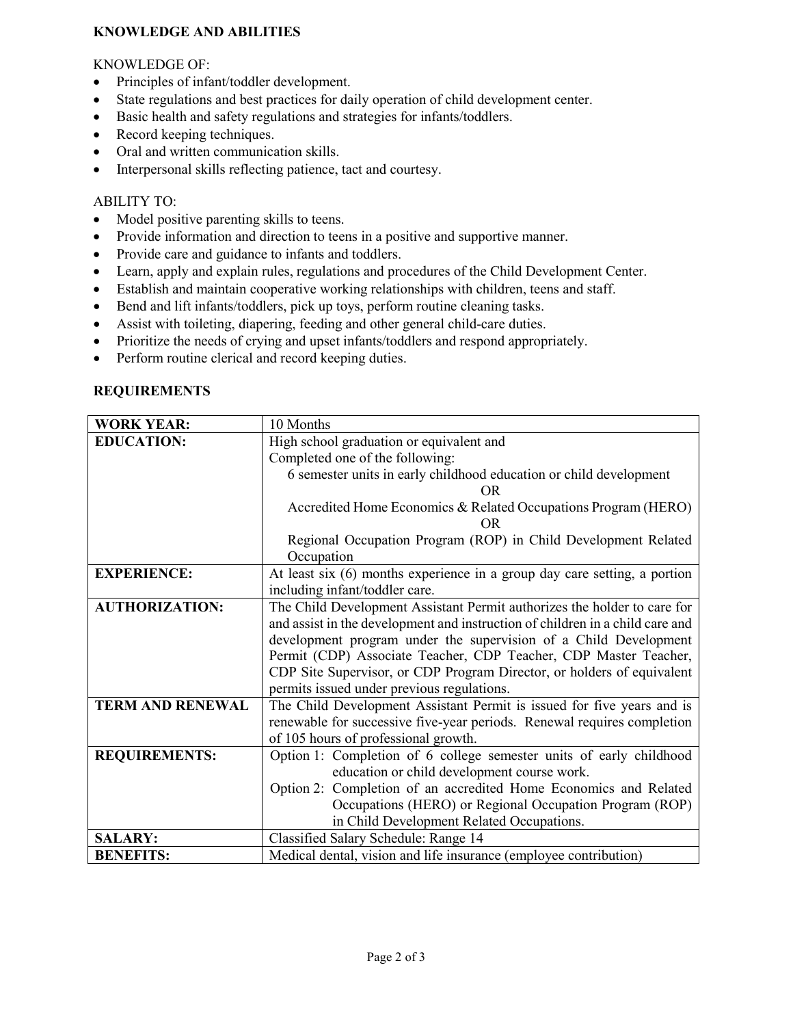## **KNOWLEDGE AND ABILITIES**

## KNOWLEDGE OF:

- Principles of infant/toddler development.
- State regulations and best practices for daily operation of child development center.
- Basic health and safety regulations and strategies for infants/toddlers.
- Record keeping techniques.
- Oral and written communication skills.
- Interpersonal skills reflecting patience, tact and courtesy.

## ABILITY TO:

- Model positive parenting skills to teens.
- Provide information and direction to teens in a positive and supportive manner.
- Provide care and guidance to infants and toddlers.
- Learn, apply and explain rules, regulations and procedures of the Child Development Center.
- Establish and maintain cooperative working relationships with children, teens and staff.
- Bend and lift infants/toddlers, pick up toys, perform routine cleaning tasks.
- Assist with toileting, diapering, feeding and other general child-care duties.
- Prioritize the needs of crying and upset infants/toddlers and respond appropriately.
- Perform routine clerical and record keeping duties.

### **REQUIREMENTS**

| <b>WORK YEAR:</b>       | 10 Months                                                                     |
|-------------------------|-------------------------------------------------------------------------------|
| <b>EDUCATION:</b>       | High school graduation or equivalent and                                      |
|                         | Completed one of the following:                                               |
|                         | 6 semester units in early childhood education or child development            |
|                         | OR                                                                            |
|                         | Accredited Home Economics & Related Occupations Program (HERO)                |
|                         | OR.                                                                           |
|                         | Regional Occupation Program (ROP) in Child Development Related                |
|                         | Occupation                                                                    |
| <b>EXPERIENCE:</b>      | At least six (6) months experience in a group day care setting, a portion     |
|                         | including infant/toddler care.                                                |
| <b>AUTHORIZATION:</b>   | The Child Development Assistant Permit authorizes the holder to care for      |
|                         | and assist in the development and instruction of children in a child care and |
|                         | development program under the supervision of a Child Development              |
|                         | Permit (CDP) Associate Teacher, CDP Teacher, CDP Master Teacher,              |
|                         | CDP Site Supervisor, or CDP Program Director, or holders of equivalent        |
|                         | permits issued under previous regulations.                                    |
| <b>TERM AND RENEWAL</b> | The Child Development Assistant Permit is issued for five years and is        |
|                         | renewable for successive five-year periods. Renewal requires completion       |
|                         | of 105 hours of professional growth.                                          |
| <b>REQUIREMENTS:</b>    | Option 1: Completion of 6 college semester units of early childhood           |
|                         | education or child development course work.                                   |
|                         | Option 2: Completion of an accredited Home Economics and Related              |
|                         | Occupations (HERO) or Regional Occupation Program (ROP)                       |
|                         | in Child Development Related Occupations.                                     |
| <b>SALARY:</b>          | Classified Salary Schedule: Range 14                                          |
| <b>BENEFITS:</b>        | Medical dental, vision and life insurance (employee contribution)             |